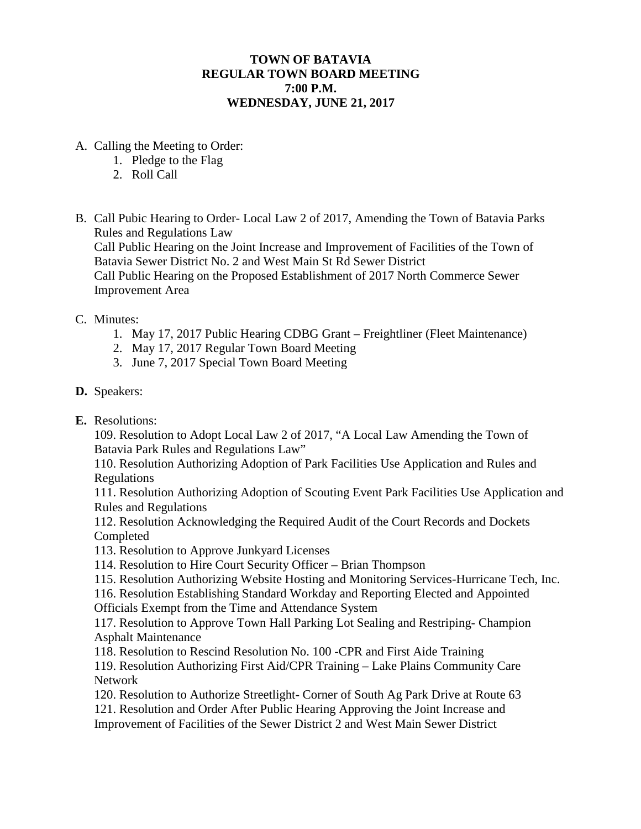## **TOWN OF BATAVIA REGULAR TOWN BOARD MEETING 7:00 P.M. WEDNESDAY, JUNE 21, 2017**

- A. Calling the Meeting to Order:
	- 1. Pledge to the Flag
	- 2. Roll Call
- B. Call Pubic Hearing to Order- Local Law 2 of 2017, Amending the Town of Batavia Parks Rules and Regulations Law

Call Public Hearing on the Joint Increase and Improvement of Facilities of the Town of Batavia Sewer District No. 2 and West Main St Rd Sewer District

Call Public Hearing on the Proposed Establishment of 2017 North Commerce Sewer Improvement Area

## C. Minutes:

- 1. May 17, 2017 Public Hearing CDBG Grant Freightliner (Fleet Maintenance)
- 2. May 17, 2017 Regular Town Board Meeting
- 3. June 7, 2017 Special Town Board Meeting
- **D.** Speakers:
- **E.** Resolutions:

109. Resolution to Adopt Local Law 2 of 2017, "A Local Law Amending the Town of Batavia Park Rules and Regulations Law"

110. Resolution Authorizing Adoption of Park Facilities Use Application and Rules and Regulations

111. Resolution Authorizing Adoption of Scouting Event Park Facilities Use Application and Rules and Regulations

112. Resolution Acknowledging the Required Audit of the Court Records and Dockets Completed

113. Resolution to Approve Junkyard Licenses

114. Resolution to Hire Court Security Officer – Brian Thompson

115. Resolution Authorizing Website Hosting and Monitoring Services-Hurricane Tech, Inc.

116. Resolution Establishing Standard Workday and Reporting Elected and Appointed Officials Exempt from the Time and Attendance System

117. Resolution to Approve Town Hall Parking Lot Sealing and Restriping- Champion Asphalt Maintenance

118. Resolution to Rescind Resolution No. 100 -CPR and First Aide Training

119. Resolution Authorizing First Aid/CPR Training – Lake Plains Community Care Network

120. Resolution to Authorize Streetlight- Corner of South Ag Park Drive at Route 63 121. Resolution and Order After Public Hearing Approving the Joint Increase and Improvement of Facilities of the Sewer District 2 and West Main Sewer District